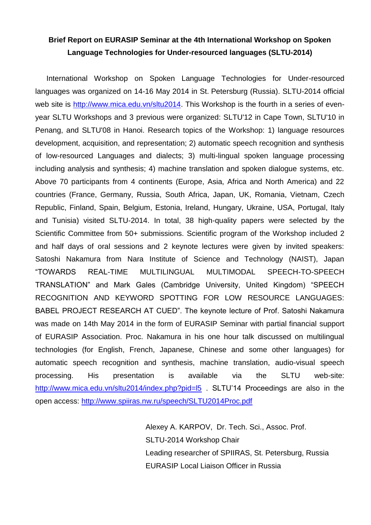## **Brief Report on EURASIP Seminar at the 4th International Workshop on Spoken Language Technologies for Under-resourced languages (SLTU-2014)**

International Workshop on Spoken Language Technologies for Under-resourced languages was organized on 14-16 May 2014 in St. Petersburg (Russia). SLTU-2014 official web site is [http://www.mica.edu.vn/sltu2014.](http://www.mica.edu.vn/sltu2014) This Workshop is the fourth in a series of evenyear SLTU Workshops and 3 previous were organized: SLTU'12 in Cape Town, SLTU'10 in Penang, and SLTU'08 in Hanoi. Research topics of the Workshop: 1) language resources development, acquisition, and representation; 2) automatic speech recognition and synthesis of low-resourced Languages and dialects; 3) multi-lingual spoken language processing including analysis and synthesis; 4) machine translation and spoken dialogue systems, etc. Above 70 participants from 4 continents (Europe, Asia, Africa and North America) and 22 countries (France, Germany, Russia, South Africa, Japan, UK, Romania, Vietnam, Czech Republic, Finland, Spain, Belgium, Estonia, Ireland, Hungary, Ukraine, USA, Portugal, Italy and Tunisia) visited SLTU-2014. In total, 38 high-quality papers were selected by the Scientific Committee from 50+ submissions. Scientific program of the Workshop included 2 and half days of oral sessions and 2 keynote lectures were given by invited speakers: Satoshi Nakamura from Nara Institute of Science and Technology (NAIST), Japan "TOWARDS REAL-TIME MULTILINGUAL MULTIMODAL SPEECH-TO-SPEECH TRANSLATION" and Mark Gales (Cambridge University, United Kingdom) "SPEECH RECOGNITION AND KEYWORD SPOTTING FOR LOW RESOURCE LANGUAGES: BABEL PROJECT RESEARCH AT CUED". The keynote lecture of Prof. Satoshi Nakamura was made on 14th May 2014 in the form of EURASIP Seminar with partial financial support of EURASIP Association. Proc. Nakamura in his one hour talk discussed on multilingual technologies (for English, French, Japanese, Chinese and some other languages) for automatic speech recognition and synthesis, machine translation, audio-visual speech processing. His presentation is available via the SLTU web-site: <http://www.mica.edu.vn/sltu2014/index.php?pid=l5> SLTU'14 Proceedings are also in the open access:<http://www.spiiras.nw.ru/speech/SLTU2014Proc.pdf>

> Alexey A. KARPOV, Dr. Tech. Sci., Assoc. Prof. SLTU-2014 Workshop Chair Leading researcher of SPIIRAS, St. Petersburg, Russia EURASIP Local Liaison Officer in Russia